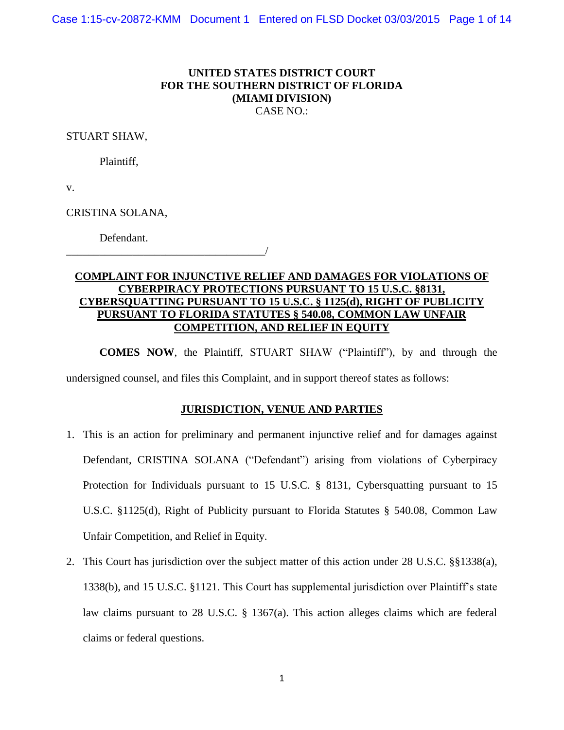## **UNITED STATES DISTRICT COURT FOR THE SOUTHERN DISTRICT OF FLORIDA (MIAMI DIVISION)** CASE NO.:

STUART SHAW,

Plaintiff,

v.

CRISTINA SOLANA,

Defendant.

\_\_\_\_\_\_\_\_\_\_\_\_\_\_\_\_\_\_\_\_\_\_\_\_\_\_\_\_\_\_\_\_\_\_\_\_/

# **COMPLAINT FOR INJUNCTIVE RELIEF AND DAMAGES FOR VIOLATIONS OF CYBERPIRACY PROTECTIONS PURSUANT TO 15 U.S.C. §8131, CYBERSQUATTING PURSUANT TO 15 U.S.C. § 1125(d), RIGHT OF PUBLICITY PURSUANT TO FLORIDA STATUTES § 540.08, COMMON LAW UNFAIR COMPETITION, AND RELIEF IN EQUITY**

**COMES NOW**, the Plaintiff, STUART SHAW ("Plaintiff"), by and through the undersigned counsel, and files this Complaint, and in support thereof states as follows:

# **JURISDICTION, VENUE AND PARTIES**

- 1. This is an action for preliminary and permanent injunctive relief and for damages against Defendant, CRISTINA SOLANA ("Defendant") arising from violations of Cyberpiracy Protection for Individuals pursuant to [15 U.S.C. § 8131,](http://www.westlaw.com/Link/Document/FullText?findType=L&pubNum=1000546&cite=15USCAS8131&originatingDoc=I3f6cb830ace711e482d79600127c00b3&refType=LQ&originationContext=document&vr=3.0&rs=cblt1.0&transitionType=DocumentItem&contextData=(sc.Keycite)) Cybersquatting pursuant to [15](http://www.westlaw.com/Link/Document/FullText?findType=L&pubNum=1000546&cite=15USCAS1125&originatingDoc=I3f6cb830ace711e482d79600127c00b3&refType=RB&originationContext=document&vr=3.0&rs=cblt1.0&transitionType=DocumentItem&contextData=(sc.Keycite)#co_pp_5ba1000067d06)  [U.S.C. §1125\(d\),](http://www.westlaw.com/Link/Document/FullText?findType=L&pubNum=1000546&cite=15USCAS1125&originatingDoc=I3f6cb830ace711e482d79600127c00b3&refType=RB&originationContext=document&vr=3.0&rs=cblt1.0&transitionType=DocumentItem&contextData=(sc.Keycite)#co_pp_5ba1000067d06) Right of Publicity pursuant to Florida Statutes § 540.08, Common Law Unfair Competition, and Relief in Equity.
- 2. This Court has jurisdiction over the subject matter of this action under [28 U.S.C. §§1338\(a\),](http://www.westlaw.com/Link/Document/FullText?findType=L&pubNum=1000546&cite=28USCAS1338&originatingDoc=I3f6cb830ace711e482d79600127c00b3&refType=RB&originationContext=document&vr=3.0&rs=cblt1.0&transitionType=DocumentItem&contextData=(sc.Keycite)#co_pp_8b3b0000958a4) [1338\(b\),](http://www.westlaw.com/Link/Document/FullText?findType=L&pubNum=1000546&cite=28USCAS1338&originatingDoc=I3f6cb830ace711e482d79600127c00b3&refType=RB&originationContext=document&vr=3.0&rs=cblt1.0&transitionType=DocumentItem&contextData=(sc.Keycite)#co_pp_a83b000018c76) and [15 U.S.C. §1121.](http://www.westlaw.com/Link/Document/FullText?findType=L&pubNum=1000546&cite=15USCAS1121&originatingDoc=I3f6cb830ace711e482d79600127c00b3&refType=LQ&originationContext=document&vr=3.0&rs=cblt1.0&transitionType=DocumentItem&contextData=(sc.Keycite)) This Court has supplemental jurisdiction over Plaintiff's state law claims pursuant to [28 U.S.C. § 1367\(a\).](http://www.westlaw.com/Link/Document/FullText?findType=L&pubNum=1000546&cite=28USCAS1367&originatingDoc=I3f6cb830ace711e482d79600127c00b3&refType=RB&originationContext=document&vr=3.0&rs=cblt1.0&transitionType=DocumentItem&contextData=(sc.Keycite)#co_pp_8b3b0000958a4) This action alleges claims which are federal claims or federal questions.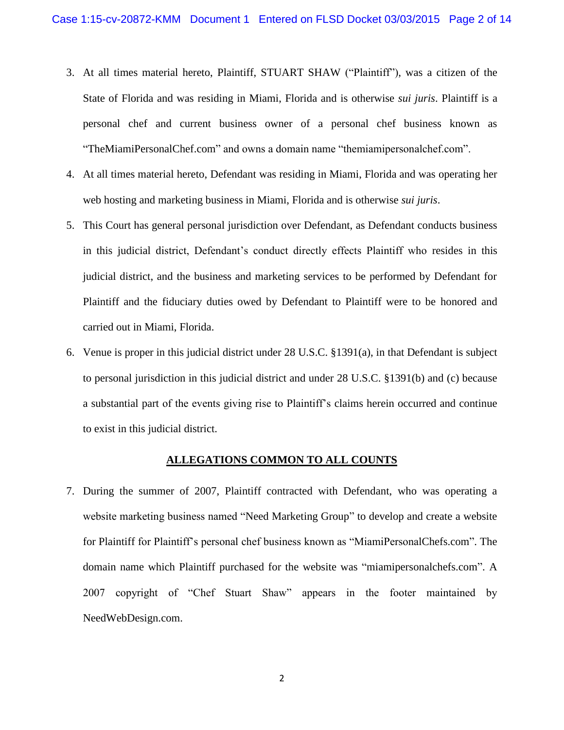- 3. At all times material hereto, Plaintiff, STUART SHAW ("Plaintiff"), was a citizen of the State of Florida and was residing in Miami, Florida and is otherwise *sui juris*. Plaintiff is a personal chef and current business owner of a personal chef business known as "TheMiamiPersonalChef.com" and owns a domain name "themiamipersonalchef.com".
- 4. At all times material hereto, Defendant was residing in Miami, Florida and was operating her web hosting and marketing business in Miami, Florida and is otherwise *sui juris*.
- 5. This Court has general personal jurisdiction over Defendant, as Defendant conducts business in this judicial district, Defendant's conduct directly effects Plaintiff who resides in this judicial district, and the business and marketing services to be performed by Defendant for Plaintiff and the fiduciary duties owed by Defendant to Plaintiff were to be honored and carried out in Miami, Florida.
- 6. Venue is proper in this judicial district under [28 U.S.C. §1391\(a\),](http://www.westlaw.com/Link/Document/FullText?findType=L&pubNum=1000546&cite=28USCAS1391&originatingDoc=I3f6cb830ace711e482d79600127c00b3&refType=RB&originationContext=document&vr=3.0&rs=cblt1.0&transitionType=DocumentItem&contextData=(sc.Keycite)#co_pp_8b3b0000958a4) in that Defendant is subject to personal jurisdiction in this judicial district and under [28 U.S.C. §1391\(b\)](http://www.westlaw.com/Link/Document/FullText?findType=L&pubNum=1000546&cite=28USCAS1391&originatingDoc=I3f6cb830ace711e482d79600127c00b3&refType=RB&originationContext=document&vr=3.0&rs=cblt1.0&transitionType=DocumentItem&contextData=(sc.Keycite)#co_pp_a83b000018c76) and [\(c\)](http://www.westlaw.com/Link/Document/FullText?findType=L&pubNum=1000546&cite=28USCAS1391&originatingDoc=I3f6cb830ace711e482d79600127c00b3&refType=RB&originationContext=document&vr=3.0&rs=cblt1.0&transitionType=DocumentItem&contextData=(sc.Keycite)#co_pp_4b24000003ba5) because a substantial part of the events giving rise to Plaintiff's claims herein occurred and continue to exist in this judicial district.

## **ALLEGATIONS COMMON TO ALL COUNTS**

7. During the summer of 2007, Plaintiff contracted with Defendant, who was operating a website marketing business named "Need Marketing Group" to develop and create a website for Plaintiff for Plaintiff's personal chef business known as "MiamiPersonalChefs.com". The domain name which Plaintiff purchased for the website was "miamipersonalchefs.com". A 2007 copyright of "Chef Stuart Shaw" appears in the footer maintained by NeedWebDesign.com.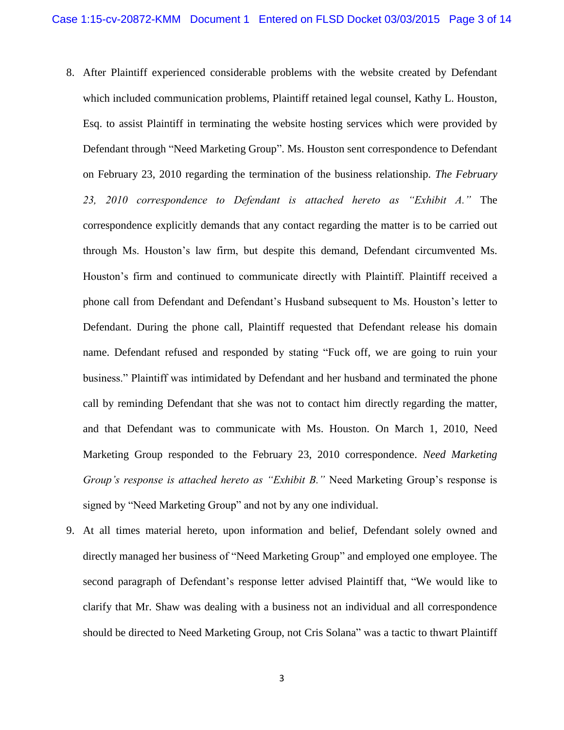- 8. After Plaintiff experienced considerable problems with the website created by Defendant which included communication problems, Plaintiff retained legal counsel, Kathy L. Houston, Esq. to assist Plaintiff in terminating the website hosting services which were provided by Defendant through "Need Marketing Group". Ms. Houston sent correspondence to Defendant on February 23, 2010 regarding the termination of the business relationship. *The February 23, 2010 correspondence to Defendant is attached hereto as "Exhibit A."* The correspondence explicitly demands that any contact regarding the matter is to be carried out through Ms. Houston's law firm, but despite this demand, Defendant circumvented Ms. Houston's firm and continued to communicate directly with Plaintiff. Plaintiff received a phone call from Defendant and Defendant's Husband subsequent to Ms. Houston's letter to Defendant. During the phone call, Plaintiff requested that Defendant release his domain name. Defendant refused and responded by stating "Fuck off, we are going to ruin your business." Plaintiff was intimidated by Defendant and her husband and terminated the phone call by reminding Defendant that she was not to contact him directly regarding the matter, and that Defendant was to communicate with Ms. Houston. On March 1, 2010, Need Marketing Group responded to the February 23, 2010 correspondence. *Need Marketing Group's response is attached hereto as "Exhibit B."* Need Marketing Group's response is signed by "Need Marketing Group" and not by any one individual.
- 9. At all times material hereto, upon information and belief, Defendant solely owned and directly managed her business of "Need Marketing Group" and employed one employee. The second paragraph of Defendant's response letter advised Plaintiff that, "We would like to clarify that Mr. Shaw was dealing with a business not an individual and all correspondence should be directed to Need Marketing Group, not Cris Solana" was a tactic to thwart Plaintiff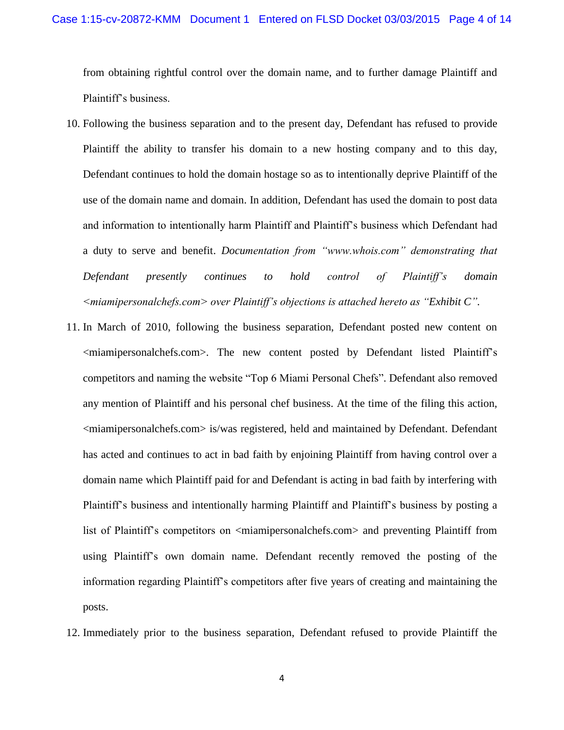from obtaining rightful control over the domain name, and to further damage Plaintiff and Plaintiff's business.

- 10. Following the business separation and to the present day, Defendant has refused to provide Plaintiff the ability to transfer his domain to a new hosting company and to this day, Defendant continues to hold the domain hostage so as to intentionally deprive Plaintiff of the use of the domain name and domain. In addition, Defendant has used the domain to post data and information to intentionally harm Plaintiff and Plaintiff's business which Defendant had a duty to serve and benefit. *Documentation from "www.whois.com" demonstrating that Defendant presently continues to hold control of Plaintiff's domain <miamipersonalchefs.com> over Plaintiff's objections is attached hereto as "Exhibit C".*
- 11. In March of 2010, following the business separation, Defendant posted new content on <miamipersonalchefs.com>. The new content posted by Defendant listed Plaintiff's competitors and naming the website "Top 6 Miami Personal Chefs". Defendant also removed any mention of Plaintiff and his personal chef business. At the time of the filing this action, <miamipersonalchefs.com> is/was registered, held and maintained by Defendant. Defendant has acted and continues to act in bad faith by enjoining Plaintiff from having control over a domain name which Plaintiff paid for and Defendant is acting in bad faith by interfering with Plaintiff's business and intentionally harming Plaintiff and Plaintiff's business by posting a list of Plaintiff's competitors on  $\alpha$  iamipersonalchefs.com and preventing Plaintiff from using Plaintiff's own domain name. Defendant recently removed the posting of the information regarding Plaintiff's competitors after five years of creating and maintaining the posts.
- 12. Immediately prior to the business separation, Defendant refused to provide Plaintiff the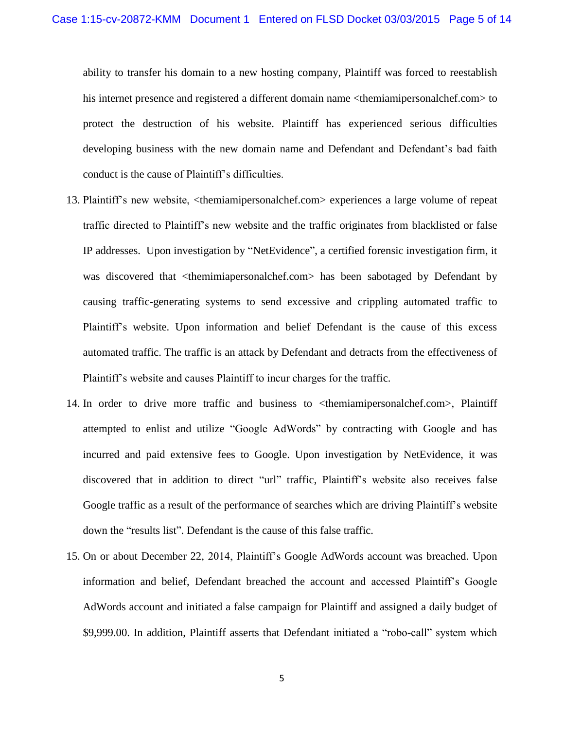ability to transfer his domain to a new hosting company, Plaintiff was forced to reestablish his internet presence and registered a different domain name <themiamipersonalchef.com> to protect the destruction of his website. Plaintiff has experienced serious difficulties developing business with the new domain name and Defendant and Defendant's bad faith conduct is the cause of Plaintiff's difficulties.

- 13. Plaintiff's new website, <themiamipersonalchef.com> experiences a large volume of repeat traffic directed to Plaintiff's new website and the traffic originates from blacklisted or false IP addresses. Upon investigation by "NetEvidence", a certified forensic investigation firm, it was discovered that <themimiapersonalchef.com> has been sabotaged by Defendant by causing traffic-generating systems to send excessive and crippling automated traffic to Plaintiff's website. Upon information and belief Defendant is the cause of this excess automated traffic. The traffic is an attack by Defendant and detracts from the effectiveness of Plaintiff's website and causes Plaintiff to incur charges for the traffic.
- 14. In order to drive more traffic and business to <themiamipersonalchef.com>, Plaintiff attempted to enlist and utilize "Google AdWords" by contracting with Google and has incurred and paid extensive fees to Google. Upon investigation by NetEvidence, it was discovered that in addition to direct "url" traffic, Plaintiff's website also receives false Google traffic as a result of the performance of searches which are driving Plaintiff's website down the "results list". Defendant is the cause of this false traffic.
- 15. On or about December 22, 2014, Plaintiff's Google AdWords account was breached. Upon information and belief, Defendant breached the account and accessed Plaintiff's Google AdWords account and initiated a false campaign for Plaintiff and assigned a daily budget of \$9,999.00. In addition, Plaintiff asserts that Defendant initiated a "robo-call" system which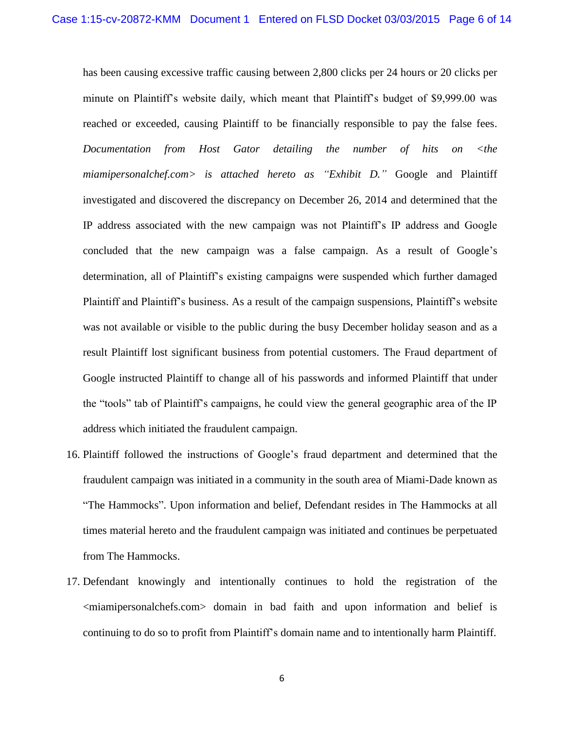has been causing excessive traffic causing between 2,800 clicks per 24 hours or 20 clicks per minute on Plaintiff's website daily, which meant that Plaintiff's budget of \$9,999.00 was reached or exceeded, causing Plaintiff to be financially responsible to pay the false fees. *Documentation from Host Gator detailing the number of hits on <the miamipersonalchef.com> is attached hereto as "Exhibit D."* Google and Plaintiff investigated and discovered the discrepancy on December 26, 2014 and determined that the IP address associated with the new campaign was not Plaintiff's IP address and Google concluded that the new campaign was a false campaign. As a result of Google's determination, all of Plaintiff's existing campaigns were suspended which further damaged Plaintiff and Plaintiff's business. As a result of the campaign suspensions, Plaintiff's website was not available or visible to the public during the busy December holiday season and as a result Plaintiff lost significant business from potential customers. The Fraud department of Google instructed Plaintiff to change all of his passwords and informed Plaintiff that under the "tools" tab of Plaintiff's campaigns, he could view the general geographic area of the IP address which initiated the fraudulent campaign.

- 16. Plaintiff followed the instructions of Google's fraud department and determined that the fraudulent campaign was initiated in a community in the south area of Miami-Dade known as "The Hammocks". Upon information and belief, Defendant resides in The Hammocks at all times material hereto and the fraudulent campaign was initiated and continues be perpetuated from The Hammocks.
- 17. Defendant knowingly and intentionally continues to hold the registration of the <miamipersonalchefs.com> domain in bad faith and upon information and belief is continuing to do so to profit from Plaintiff's domain name and to intentionally harm Plaintiff.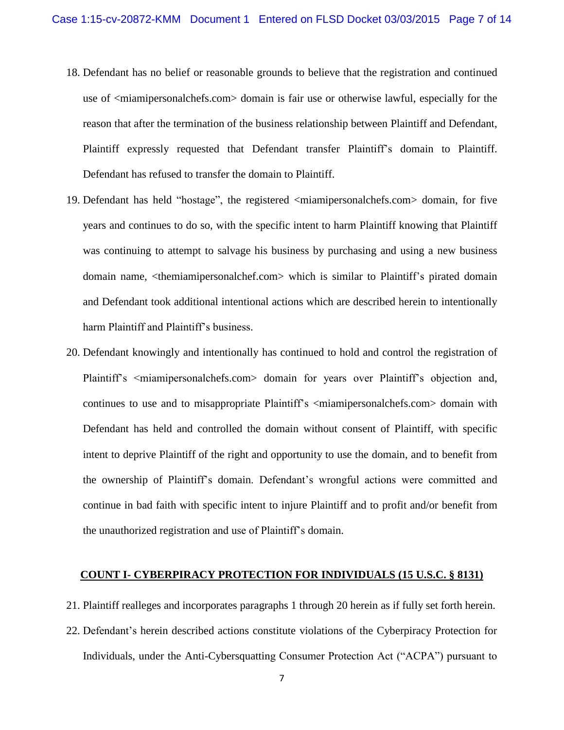- 18. Defendant has no belief or reasonable grounds to believe that the registration and continued use of <miamipersonalchefs.com> domain is fair use or otherwise lawful, especially for the reason that after the termination of the business relationship between Plaintiff and Defendant, Plaintiff expressly requested that Defendant transfer Plaintiff's domain to Plaintiff. Defendant has refused to transfer the domain to Plaintiff.
- 19. Defendant has held "hostage", the registered <miamipersonalchefs.com> domain, for five years and continues to do so, with the specific intent to harm Plaintiff knowing that Plaintiff was continuing to attempt to salvage his business by purchasing and using a new business domain name, <themiamipersonalchef.com> which is similar to Plaintiff's pirated domain and Defendant took additional intentional actions which are described herein to intentionally harm Plaintiff and Plaintiff's business.
- 20. Defendant knowingly and intentionally has continued to hold and control the registration of Plaintiff's <miamipersonalchefs.com> domain for years over Plaintiff's objection and, continues to use and to misappropriate Plaintiff's  $\leq$ miamipersonalchefs.com alomain with Defendant has held and controlled the domain without consent of Plaintiff, with specific intent to deprive Plaintiff of the right and opportunity to use the domain, and to benefit from the ownership of Plaintiff's domain. Defendant's wrongful actions were committed and continue in bad faith with specific intent to injure Plaintiff and to profit and/or benefit from the unauthorized registration and use of Plaintiff's domain.

## **COUNT I- CYBERPIRACY PROTECTION FOR INDIVIDUALS [\(15 U.S.C. § 8131\)](http://www.westlaw.com/Link/Document/FullText?findType=L&pubNum=1000546&cite=15USCAS8131&originatingDoc=I3f6cb830ace711e482d79600127c00b3&refType=LQ&originationContext=document&vr=3.0&rs=cblt1.0&transitionType=DocumentItem&contextData=(sc.Keycite))**

- 21. Plaintiff realleges and incorporates paragraphs 1 through 20 herein as if fully set forth herein.
- 22. Defendant's herein described actions constitute violations of the Cyberpiracy Protection for Individuals, under the Anti-Cybersquatting Consumer Protection Act ("ACPA") pursuant to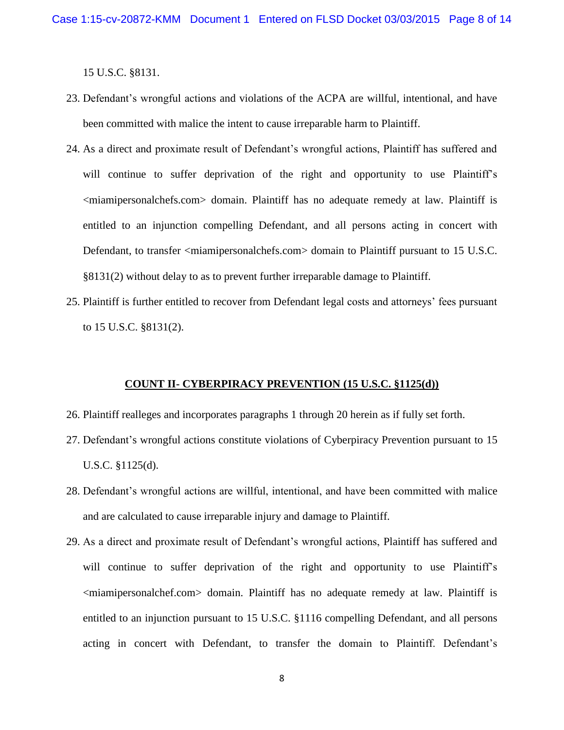[15 U.S.C. §8131.](http://www.westlaw.com/Link/Document/FullText?findType=L&pubNum=1000546&cite=15USCAS8131&originatingDoc=I3f6cb830ace711e482d79600127c00b3&refType=LQ&originationContext=document&vr=3.0&rs=cblt1.0&transitionType=DocumentItem&contextData=(sc.Keycite))

- 23. Defendant's wrongful actions and violations of the ACPA are willful, intentional, and have been committed with malice the intent to cause irreparable harm to Plaintiff.
- 24. As a direct and proximate result of Defendant's wrongful actions, Plaintiff has suffered and will continue to suffer deprivation of the right and opportunity to use Plaintiff's <miamipersonalchefs.com> domain. Plaintiff has no adequate remedy at law. Plaintiff is entitled to an injunction compelling Defendant, and all persons acting in concert with Defendant, to transfer <miamipersonalchefs.com> domain to Plaintiff pursuant to 15 U.S.C. [§8131\(2\)](http://www.westlaw.com/Link/Document/FullText?findType=L&pubNum=1000546&cite=15USCAS8131&originatingDoc=I3f6cb830ace711e482d79600127c00b3&refType=RB&originationContext=document&vr=3.0&rs=cblt1.0&transitionType=DocumentItem&contextData=(sc.Keycite)#co_pp_58730000872b1) without delay to as to prevent further irreparable damage to Plaintiff.
- 25. Plaintiff is further entitled to recover from Defendant legal costs and attorneys' fees pursuant to [15 U.S.C. §8131\(2\).](http://www.westlaw.com/Link/Document/FullText?findType=L&pubNum=1000546&cite=15USCAS8131&originatingDoc=I3f6cb830ace711e482d79600127c00b3&refType=RB&originationContext=document&vr=3.0&rs=cblt1.0&transitionType=DocumentItem&contextData=(sc.Keycite)#co_pp_58730000872b1)

#### **COUNT II- CYBERPIRACY PREVENTION [\(15 U.S.C. §1125\(d\)\)](http://www.westlaw.com/Link/Document/FullText?findType=L&pubNum=1000546&cite=15USCAS1125&originatingDoc=I3f6cb830ace711e482d79600127c00b3&refType=RB&originationContext=document&vr=3.0&rs=cblt1.0&transitionType=DocumentItem&contextData=(sc.Keycite)#co_pp_5ba1000067d06)**

- 26. Plaintiff realleges and incorporates paragraphs 1 through 20 herein as if fully set forth.
- 27. Defendant's wrongful actions constitute violations of Cyberpiracy Prevention pursuant to [15](http://www.westlaw.com/Link/Document/FullText?findType=L&pubNum=1000546&cite=15USCAS1125&originatingDoc=I3f6cb830ace711e482d79600127c00b3&refType=RB&originationContext=document&vr=3.0&rs=cblt1.0&transitionType=DocumentItem&contextData=(sc.Keycite)#co_pp_5ba1000067d06)  [U.S.C. §1125\(d\).](http://www.westlaw.com/Link/Document/FullText?findType=L&pubNum=1000546&cite=15USCAS1125&originatingDoc=I3f6cb830ace711e482d79600127c00b3&refType=RB&originationContext=document&vr=3.0&rs=cblt1.0&transitionType=DocumentItem&contextData=(sc.Keycite)#co_pp_5ba1000067d06)
- 28. Defendant's wrongful actions are willful, intentional, and have been committed with malice and are calculated to cause irreparable injury and damage to Plaintiff.
- 29. As a direct and proximate result of Defendant's wrongful actions, Plaintiff has suffered and will continue to suffer deprivation of the right and opportunity to use Plaintiff's <miamipersonalchef.com> domain. Plaintiff has no adequate remedy at law. Plaintiff is entitled to an injunction pursuant to [15 U.S.C. §1116](http://www.westlaw.com/Link/Document/FullText?findType=L&pubNum=1000546&cite=15USCAS1116&originatingDoc=I3f6cb830ace711e482d79600127c00b3&refType=LQ&originationContext=document&vr=3.0&rs=cblt1.0&transitionType=DocumentItem&contextData=(sc.Keycite)) compelling Defendant, and all persons acting in concert with Defendant, to transfer the domain to Plaintiff. Defendant's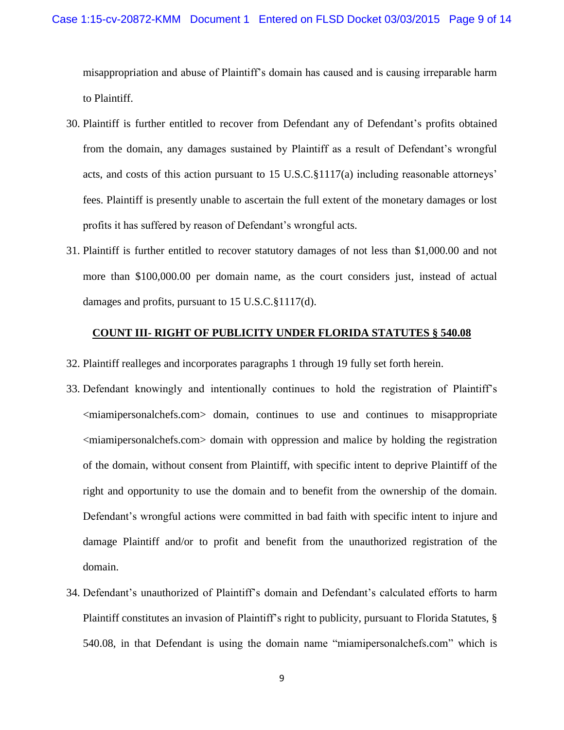misappropriation and abuse of Plaintiff's domain has caused and is causing irreparable harm to Plaintiff.

- 30. Plaintiff is further entitled to recover from Defendant any of Defendant's profits obtained from the domain, any damages sustained by Plaintiff as a result of Defendant's wrongful acts, and costs of this action pursuant to 15 U.S.C.§1117(a) including reasonable attorneys' fees. Plaintiff is presently unable to ascertain the full extent of the monetary damages or lost profits it has suffered by reason of Defendant's wrongful acts.
- 31. Plaintiff is further entitled to recover statutory damages of not less than \$1,000.00 and not more than \$100,000.00 per domain name, as the court considers just, instead of actual damages and profits, pursuant to 15 U.S.C.§1117(d).

## **COUNT III- RIGHT OF PUBLICITY UNDER FLORIDA STATUTES § 540.08**

- 32. Plaintiff realleges and incorporates paragraphs 1 through 19 fully set forth herein.
- 33. Defendant knowingly and intentionally continues to hold the registration of Plaintiff's <miamipersonalchefs.com> domain, continues to use and continues to misappropriate <miamipersonalchefs.com> domain with oppression and malice by holding the registration of the domain, without consent from Plaintiff, with specific intent to deprive Plaintiff of the right and opportunity to use the domain and to benefit from the ownership of the domain. Defendant's wrongful actions were committed in bad faith with specific intent to injure and damage Plaintiff and/or to profit and benefit from the unauthorized registration of the domain.
- 34. Defendant's unauthorized of Plaintiff's domain and Defendant's calculated efforts to harm Plaintiff constitutes an invasion of Plaintiff's right to publicity, pursuant to [Florida Statutes,](https://a.next.westlaw.com/Link/Document/FullText?findType=L&pubNum=1000006&cite=FLSTS540.08&originatingDoc=I423f22b0b0c411e49f4af9f38b3f625e&refType=LQ&originationContext=document&transitionType=DocumentItem&contextData=(sc.Keycite)) § [540.08,](https://a.next.westlaw.com/Link/Document/FullText?findType=L&pubNum=1000006&cite=FLSTS540.08&originatingDoc=I423f22b0b0c411e49f4af9f38b3f625e&refType=LQ&originationContext=document&transitionType=DocumentItem&contextData=(sc.Keycite)) in that Defendant is using the domain name "miamipersonalchefs.com" which is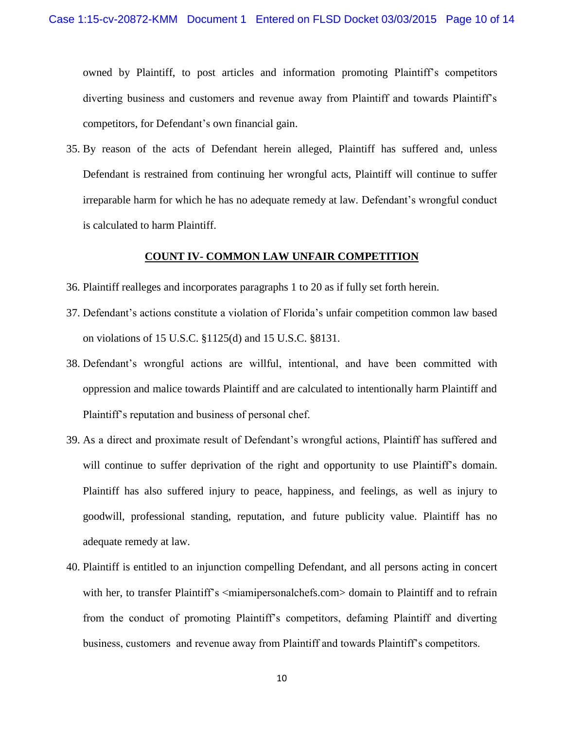owned by Plaintiff, to post articles and information promoting Plaintiff's competitors diverting business and customers and revenue away from Plaintiff and towards Plaintiff's competitors, for Defendant's own financial gain.

35. By reason of the acts of Defendant herein alleged, Plaintiff has suffered and, unless Defendant is restrained from continuing her wrongful acts, Plaintiff will continue to suffer irreparable harm for which he has no adequate remedy at law. Defendant's wrongful conduct is calculated to harm Plaintiff.

## **COUNT IV- COMMON LAW UNFAIR COMPETITION**

- 36. Plaintiff realleges and incorporates paragraphs 1 to 20 as if fully set forth herein.
- 37. Defendant's actions constitute a violation of Florida's unfair competition common law based on violations of [15 U.S.C. §1125\(d\)](http://www.westlaw.com/Link/Document/FullText?findType=L&pubNum=1000546&cite=15USCAS1125&originatingDoc=I3f6cb830ace711e482d79600127c00b3&refType=RB&originationContext=document&vr=3.0&rs=cblt1.0&transitionType=DocumentItem&contextData=(sc.Keycite)#co_pp_5ba1000067d06) and [15 U.S.C. §8131.](http://www.westlaw.com/Link/Document/FullText?findType=L&pubNum=1000546&cite=15USCAS8131&originatingDoc=I3f6cb830ace711e482d79600127c00b3&refType=LQ&originationContext=document&vr=3.0&rs=cblt1.0&transitionType=DocumentItem&contextData=(sc.Keycite))
- 38. Defendant's wrongful actions are willful, intentional, and have been committed with oppression and malice towards Plaintiff and are calculated to intentionally harm Plaintiff and Plaintiff's reputation and business of personal chef.
- 39. As a direct and proximate result of Defendant's wrongful actions, Plaintiff has suffered and will continue to suffer deprivation of the right and opportunity to use Plaintiff's domain. Plaintiff has also suffered injury to peace, happiness, and feelings, as well as injury to goodwill, professional standing, reputation, and future publicity value. Plaintiff has no adequate remedy at law.
- 40. Plaintiff is entitled to an injunction compelling Defendant, and all persons acting in concert with her, to transfer Plaintiff's <miamipersonalchefs.com> domain to Plaintiff and to refrain from the conduct of promoting Plaintiff's competitors, defaming Plaintiff and diverting business, customers and revenue away from Plaintiff and towards Plaintiff's competitors.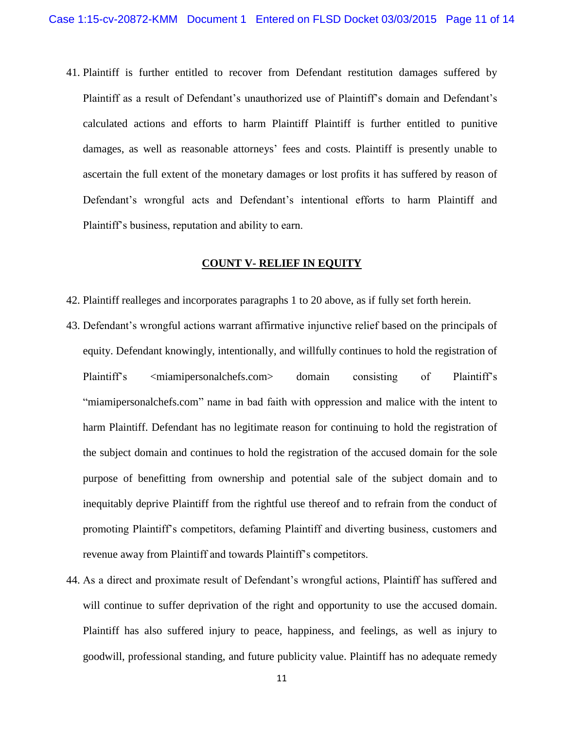41. Plaintiff is further entitled to recover from Defendant restitution damages suffered by Plaintiff as a result of Defendant's unauthorized use of Plaintiff's domain and Defendant's calculated actions and efforts to harm Plaintiff Plaintiff is further entitled to punitive damages, as well as reasonable attorneys' fees and costs. Plaintiff is presently unable to ascertain the full extent of the monetary damages or lost profits it has suffered by reason of Defendant's wrongful acts and Defendant's intentional efforts to harm Plaintiff and Plaintiff's business, reputation and ability to earn.

## **COUNT V- RELIEF IN EQUITY**

- 42. Plaintiff realleges and incorporates paragraphs 1 to 20 above, as if fully set forth herein.
- 43. Defendant's wrongful actions warrant affirmative injunctive relief based on the principals of equity. Defendant knowingly, intentionally, and willfully continues to hold the registration of Plaintiff's 
summinimum consisting of Plaintiff's "miamipersonalchefs.com" name in bad faith with oppression and malice with the intent to harm Plaintiff. Defendant has no legitimate reason for continuing to hold the registration of the subject domain and continues to hold the registration of the accused domain for the sole purpose of benefitting from ownership and potential sale of the subject domain and to inequitably deprive Plaintiff from the rightful use thereof and to refrain from the conduct of promoting Plaintiff's competitors, defaming Plaintiff and diverting business, customers and revenue away from Plaintiff and towards Plaintiff's competitors.
- 44. As a direct and proximate result of Defendant's wrongful actions, Plaintiff has suffered and will continue to suffer deprivation of the right and opportunity to use the accused domain. Plaintiff has also suffered injury to peace, happiness, and feelings, as well as injury to goodwill, professional standing, and future publicity value. Plaintiff has no adequate remedy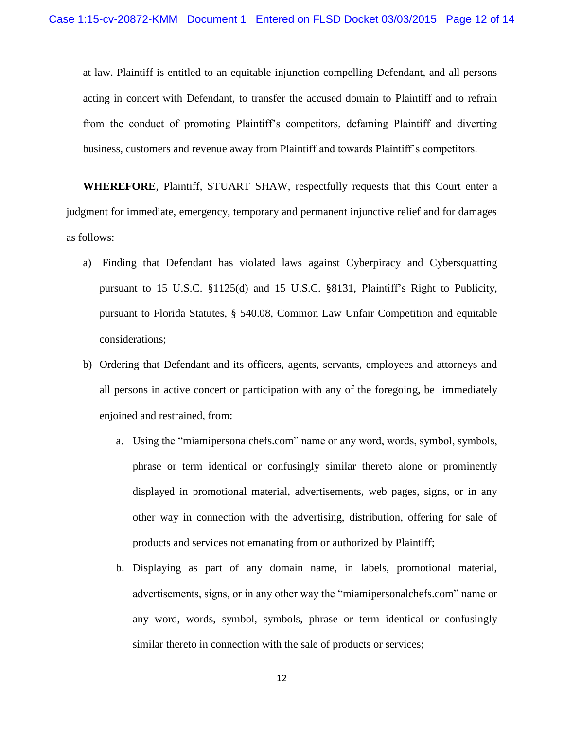at law. Plaintiff is entitled to an equitable injunction compelling Defendant, and all persons acting in concert with Defendant, to transfer the accused domain to Plaintiff and to refrain from the conduct of promoting Plaintiff's competitors, defaming Plaintiff and diverting business, customers and revenue away from Plaintiff and towards Plaintiff's competitors.

**WHEREFORE**, Plaintiff, STUART SHAW, respectfully requests that this Court enter a judgment for immediate, emergency, temporary and permanent injunctive relief and for damages as follows:

- a) Finding that Defendant has violated laws against Cyberpiracy and Cybersquatting pursuant to [15 U.S.C. §1125\(d\)](http://www.westlaw.com/Link/Document/FullText?findType=L&pubNum=1000546&cite=15USCAS1125&originatingDoc=I3f6cb830ace711e482d79600127c00b3&refType=RB&originationContext=document&vr=3.0&rs=cblt1.0&transitionType=DocumentItem&contextData=(sc.Keycite)#co_pp_5ba1000067d06) and [15 U.S.C. §8131,](http://www.westlaw.com/Link/Document/FullText?findType=L&pubNum=1000546&cite=15USCAS8131&originatingDoc=I3f6cb830ace711e482d79600127c00b3&refType=LQ&originationContext=document&vr=3.0&rs=cblt1.0&transitionType=DocumentItem&contextData=(sc.Keycite)) Plaintiff's Right to Publicity, pursuant to [Florida Statutes,](https://a.next.westlaw.com/Link/Document/FullText?findType=L&pubNum=1000006&cite=FLSTS540.08&originatingDoc=I423f22b0b0c411e49f4af9f38b3f625e&refType=LQ&originationContext=document&transitionType=DocumentItem&contextData=(sc.Keycite)) § 540.08, Common Law Unfair Competition and equitable considerations;
- b) Ordering that Defendant and its officers, agents, servants, employees and attorneys and all persons in active concert or participation with any of the foregoing, be immediately enjoined and restrained, from:
	- a. Using the "miamipersonalchefs.com" name or any word, words, symbol, symbols, phrase or term identical or confusingly similar thereto alone or prominently displayed in promotional material, advertisements, web pages, signs, or in any other way in connection with the advertising, distribution, offering for sale of products and services not emanating from or authorized by Plaintiff;
	- b. Displaying as part of any domain name, in labels, promotional material, advertisements, signs, or in any other way the "miamipersonalchefs.com" name or any word, words, symbol, symbols, phrase or term identical or confusingly similar thereto in connection with the sale of products or services;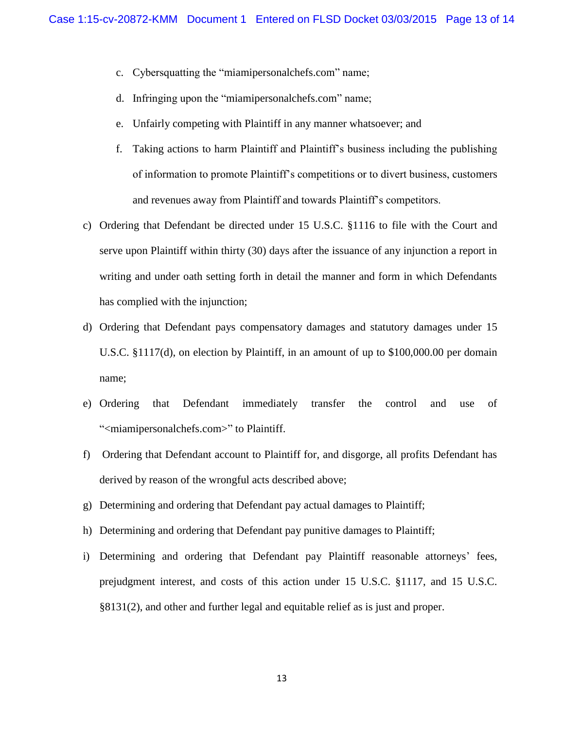- c. Cybersquatting the "miamipersonalchefs.com" name;
- d. Infringing upon the "miamipersonalchefs.com" name;
- e. Unfairly competing with Plaintiff in any manner whatsoever; and
- f. Taking actions to harm Plaintiff and Plaintiff's business including the publishing of information to promote Plaintiff's competitions or to divert business, customers and revenues away from Plaintiff and towards Plaintiff's competitors.
- c) Ordering that Defendant be directed under [15 U.S.C. §1116](http://www.westlaw.com/Link/Document/FullText?findType=L&pubNum=1000546&cite=15USCAS1116&originatingDoc=I3f6cb830ace711e482d79600127c00b3&refType=LQ&originationContext=document&vr=3.0&rs=cblt1.0&transitionType=DocumentItem&contextData=(sc.Keycite)) to file with the Court and serve upon Plaintiff within thirty (30) days after the issuance of any injunction a report in writing and under oath setting forth in detail the manner and form in which Defendants has complied with the injunction;
- d) Ordering that Defendant pays compensatory damages and statutory damages under [15](http://www.westlaw.com/Link/Document/FullText?findType=L&pubNum=1000546&cite=15USCAS1125&originatingDoc=I3f6cb830ace711e482d79600127c00b3&refType=RB&originationContext=document&vr=3.0&rs=cblt1.0&transitionType=DocumentItem&contextData=(sc.Keycite)#co_pp_5ba1000067d06)  [U.S.C. §1117\(d\),](http://www.westlaw.com/Link/Document/FullText?findType=L&pubNum=1000546&cite=15USCAS1125&originatingDoc=I3f6cb830ace711e482d79600127c00b3&refType=RB&originationContext=document&vr=3.0&rs=cblt1.0&transitionType=DocumentItem&contextData=(sc.Keycite)#co_pp_5ba1000067d06) on election by Plaintiff, in an amount of up to \$100,000.00 per domain name;
- e) Ordering that Defendant immediately transfer the control and use of "<miamipersonalchefs.com>" to Plaintiff.
- f) Ordering that Defendant account to Plaintiff for, and disgorge, all profits Defendant has derived by reason of the wrongful acts described above;
- g) Determining and ordering that Defendant pay actual damages to Plaintiff;
- h) Determining and ordering that Defendant pay punitive damages to Plaintiff;
- i) Determining and ordering that Defendant pay Plaintiff reasonable attorneys' fees, prejudgment interest, and costs of this action under 15 U.S.C. §1117, and [15 U.S.C.](http://www.westlaw.com/Link/Document/FullText?findType=L&pubNum=1000546&cite=15USCAS8131&originatingDoc=I3f6cb830ace711e482d79600127c00b3&refType=RB&originationContext=document&vr=3.0&rs=cblt1.0&transitionType=DocumentItem&contextData=(sc.Keycite)#co_pp_58730000872b1)  [§8131\(2\),](http://www.westlaw.com/Link/Document/FullText?findType=L&pubNum=1000546&cite=15USCAS8131&originatingDoc=I3f6cb830ace711e482d79600127c00b3&refType=RB&originationContext=document&vr=3.0&rs=cblt1.0&transitionType=DocumentItem&contextData=(sc.Keycite)#co_pp_58730000872b1) and other and further legal and equitable relief as is just and proper.